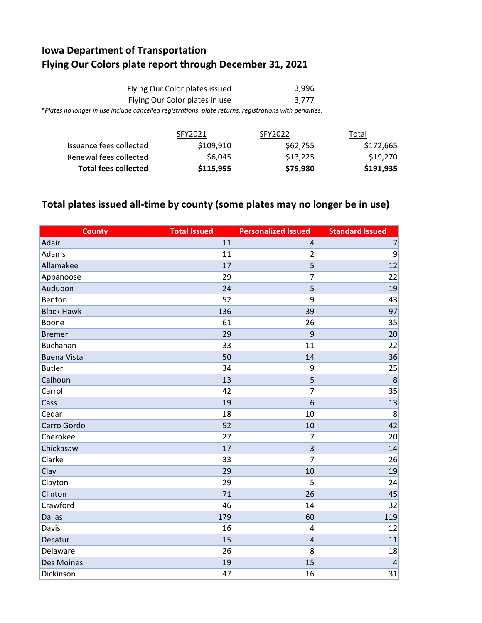## **Iowa Department of Transportation Flying Our Colors plate report through December 31, 2021**

| Flying Our Color plates issued                                                                         | 3.996 |
|--------------------------------------------------------------------------------------------------------|-------|
| Flying Our Color plates in use                                                                         | 3.777 |
| *Plates no longer in use include cancelled registrations, plate returns, registrations with penalties. |       |

|                             | SFY2021   | SFY2022  | Total     |
|-----------------------------|-----------|----------|-----------|
| Issuance fees collected     | \$109,910 | \$62,755 | \$172,665 |
| Renewal fees collected      | \$6.045   | \$13.225 | \$19,270  |
| <b>Total fees collected</b> | \$115,955 | \$75,980 | \$191,935 |

## **Total plates issued all-time by county (some plates may no longer be in use)**

| <b>County</b>      | <b>Total Issued</b> | <b>Personalized Issued</b> | <b>Standard Issued</b> |
|--------------------|---------------------|----------------------------|------------------------|
| Adair              | 11                  | $\overline{4}$             | $\overline{7}$         |
| Adams              | 11                  | $\overline{2}$             | 9                      |
| Allamakee          | 17                  | 5                          | 12                     |
| Appanoose          | 29                  | $\overline{7}$             | 22                     |
| Audubon            | 24                  | 5                          | 19                     |
| Benton             | 52                  | 9                          | 43                     |
| <b>Black Hawk</b>  | 136                 | 39                         | 97                     |
| Boone              | 61                  | 26                         | 35                     |
| <b>Bremer</b>      | 29                  | 9                          | 20                     |
| Buchanan           | 33                  | 11                         | 22                     |
| <b>Buena Vista</b> | 50                  | 14                         | 36                     |
| <b>Butler</b>      | 34                  | 9                          | 25                     |
| Calhoun            | 13                  | 5                          | 8                      |
| Carroll            | 42                  | $\overline{7}$             | 35                     |
| Cass               | 19                  | 6                          | 13                     |
| Cedar              | 18                  | 10                         | 8                      |
| Cerro Gordo        | 52                  | 10                         | 42                     |
| Cherokee           | 27                  | $\overline{7}$             | 20                     |
| Chickasaw          | 17                  | $\overline{3}$             | 14                     |
| Clarke             | 33                  | $\overline{7}$             | 26                     |
| Clay               | 29                  | 10                         | 19                     |
| Clayton            | 29                  | 5                          | 24                     |
| Clinton            | 71                  | 26                         | 45                     |
| Crawford           | 46                  | 14                         | 32                     |
| <b>Dallas</b>      | 179                 | 60                         | 119                    |
| Davis              | 16                  | $\overline{4}$             | 12                     |
| Decatur            | 15                  | $\overline{4}$             | 11                     |
| Delaware           | 26                  | 8                          | 18                     |
| Des Moines         | 19                  | 15                         | 4                      |
| Dickinson          | 47                  | 16                         | 31                     |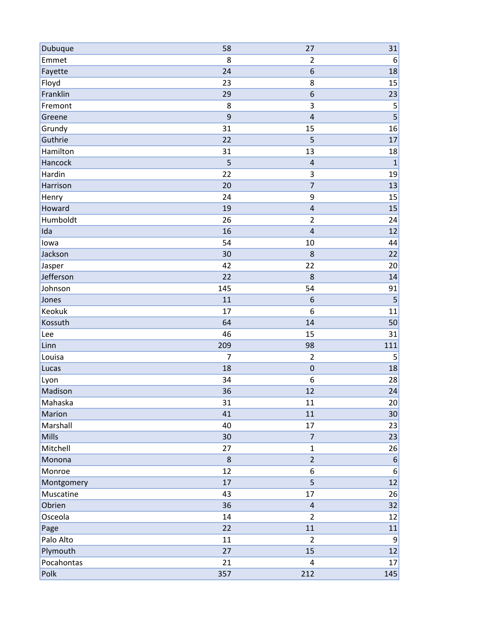| Dubuque    | 58             | 27                      | 31               |
|------------|----------------|-------------------------|------------------|
| Emmet      | 8              | $\overline{2}$          | 6                |
| Fayette    | 24             | 6                       | 18               |
| Floyd      | 23             | 8                       | 15               |
| Franklin   | 29             | 6                       | 23               |
| Fremont    | 8              | 3                       | 5                |
| Greene     | 9              | $\overline{\mathbf{4}}$ |                  |
| Grundy     | 31             | 15                      | 16               |
| Guthrie    | 22             | 5                       | 17               |
| Hamilton   | 31             | 13                      | 18               |
| Hancock    | 5              | $\overline{\mathbf{4}}$ | $\mathbf 1$      |
| Hardin     | 22             | 3                       | 19               |
| Harrison   | 20             | $\overline{7}$          | 13               |
| Henry      | 24             | 9                       | 15               |
| Howard     | 19             | $\overline{\mathbf{4}}$ | 15               |
| Humboldt   | 26             | $\overline{2}$          | 24               |
| Ida        | 16             | $\overline{\mathbf{4}}$ | 12               |
| lowa       | 54             | 10                      | 44               |
| Jackson    | 30             | 8                       | 22               |
| Jasper     | 42             | 22                      | 20               |
| Jefferson  | 22             | 8                       | 14               |
| Johnson    | 145            | 54                      | 91               |
| Jones      | 11             | 6                       | 5                |
| Keokuk     | 17             | 6                       | 11               |
| Kossuth    | 64             | 14                      | 50               |
| Lee        | 46             | 15                      | 31               |
| Linn       | 209            | 98                      | 111              |
| Louisa     | $\overline{7}$ | $\overline{2}$          | 5                |
| Lucas      | 18             | $\mathbf 0$             | 18               |
| Lyon       | 34             | 6                       | 28               |
| Madison    | 36             | 12                      | 24               |
| Mahaska    | 31             | 11                      | 20               |
| Marion     | 41             | 11                      | 30               |
| Marshall   | 40             | 17                      | 23               |
| Mills      | 30             | $\overline{7}$          | 23               |
| Mitchell   | 27             | $\mathbf{1}$            | 26               |
| Monona     | $\bf 8$        | $\overline{2}$          | $6 \overline{6}$ |
| Monroe     | 12             | $\boldsymbol{6}$        | 6                |
| Montgomery | 17             | 5                       | 12               |
| Muscatine  | 43             | 17                      | 26               |
| Obrien     | 36             | $\sqrt{4}$              | 32               |
| Osceola    | 14             | $\overline{2}$          | 12               |
| Page       | 22             | 11                      | 11               |
| Palo Alto  | 11             | $\overline{2}$          | $\overline{9}$   |
| Plymouth   | 27             | 15                      | 12               |
| Pocahontas | 21             | $\overline{4}$          | 17               |
| Polk       | 357            | 212                     | 145              |